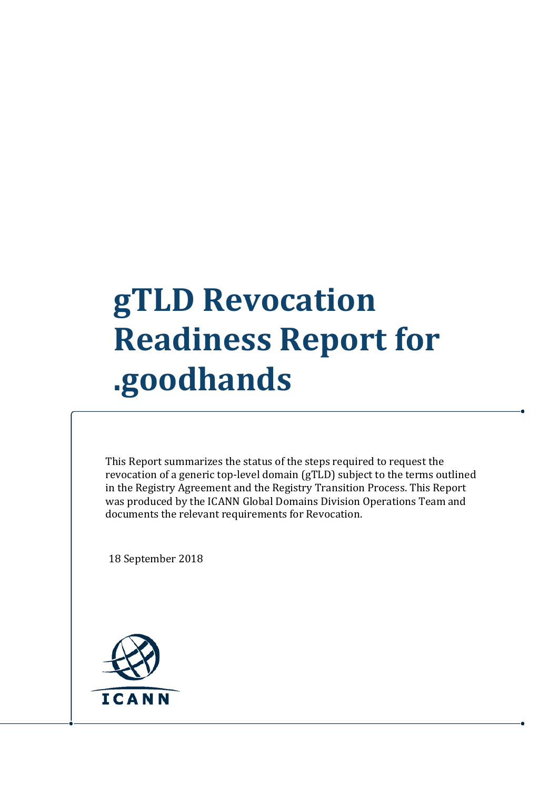## **gTLD Revocation Readiness Report for .goodhands**

This Report summarizes the status of the steps required to request the revocation of a generic top-level domain (gTLD) subject to the terms outlined in the Registry Agreement and the Registry Transition Process. This Report was produced by the ICANN Global Domains Division Operations Team and documents the relevant requirements for Revocation.

18 September 2018

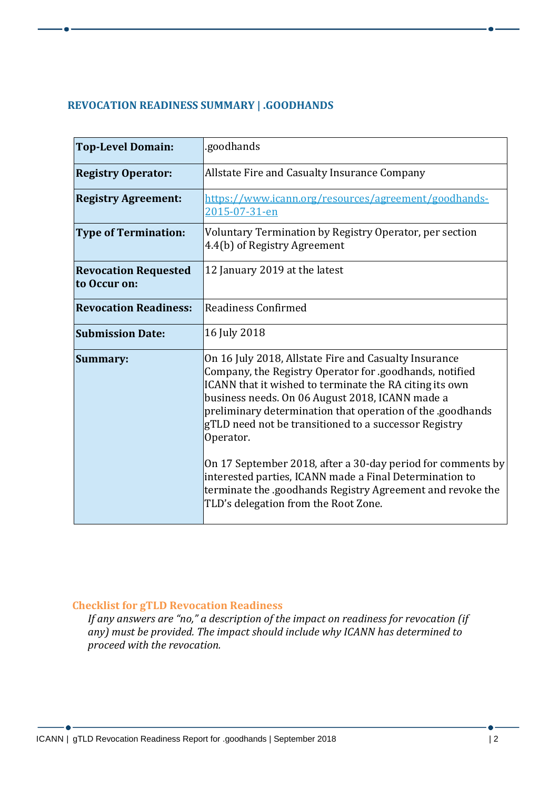## **REVOCATION READINESS SUMMARY | .GOODHANDS**

| <b>Top-Level Domain:</b>                    | .goodhands                                                                                                                                                                                                                                                                                                                                                                                                                                                                                                                                                 |
|---------------------------------------------|------------------------------------------------------------------------------------------------------------------------------------------------------------------------------------------------------------------------------------------------------------------------------------------------------------------------------------------------------------------------------------------------------------------------------------------------------------------------------------------------------------------------------------------------------------|
| <b>Registry Operator:</b>                   | Allstate Fire and Casualty Insurance Company                                                                                                                                                                                                                                                                                                                                                                                                                                                                                                               |
| <b>Registry Agreement:</b>                  | https://www.icann.org/resources/agreement/goodhands-<br>2015-07-31-en                                                                                                                                                                                                                                                                                                                                                                                                                                                                                      |
| <b>Type of Termination:</b>                 | Voluntary Termination by Registry Operator, per section<br>4.4(b) of Registry Agreement                                                                                                                                                                                                                                                                                                                                                                                                                                                                    |
| <b>Revocation Requested</b><br>to Occur on: | 12 January 2019 at the latest                                                                                                                                                                                                                                                                                                                                                                                                                                                                                                                              |
| <b>Revocation Readiness:</b>                | Readiness Confirmed                                                                                                                                                                                                                                                                                                                                                                                                                                                                                                                                        |
| <b>Submission Date:</b>                     | 16 July 2018                                                                                                                                                                                                                                                                                                                                                                                                                                                                                                                                               |
| Summary:                                    | On 16 July 2018, Allstate Fire and Casualty Insurance<br>Company, the Registry Operator for .goodhands, notified<br>ICANN that it wished to terminate the RA citing its own<br>business needs. On 06 August 2018, ICANN made a<br>preliminary determination that operation of the .goodhands<br>gTLD need not be transitioned to a successor Registry<br>Operator.<br>On 17 September 2018, after a 30-day period for comments by<br>interested parties, ICANN made a Final Determination to<br>terminate the .goodhands Registry Agreement and revoke the |
|                                             | TLD's delegation from the Root Zone.                                                                                                                                                                                                                                                                                                                                                                                                                                                                                                                       |

## **Checklist for gTLD Revocation Readiness**

*If any answers are "no," a description of the impact on readiness for revocation (if any) must be provided. The impact should include why ICANN has determined to proceed with the revocation.*

 $\bullet$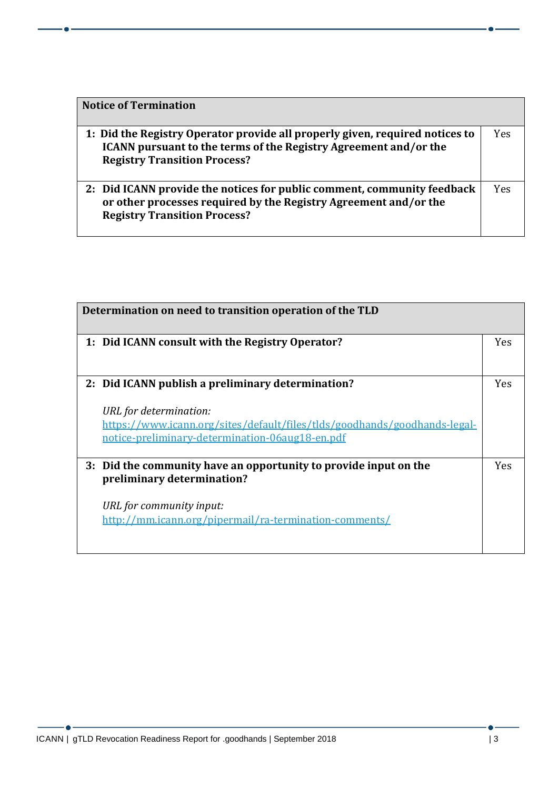| <b>Notice of Termination</b>                                                                                                                                                                   |     |
|------------------------------------------------------------------------------------------------------------------------------------------------------------------------------------------------|-----|
| 1: Did the Registry Operator provide all properly given, required notices to<br><b>ICANN</b> pursuant to the terms of the Registry Agreement and/or the<br><b>Registry Transition Process?</b> | Yes |
| 2: Did ICANN provide the notices for public comment, community feedback<br>or other processes required by the Registry Agreement and/or the<br><b>Registry Transition Process?</b>             | Yes |

| Determination on need to transition operation of the TLD                                                                                                                                                    |            |
|-------------------------------------------------------------------------------------------------------------------------------------------------------------------------------------------------------------|------------|
| 1: Did ICANN consult with the Registry Operator?                                                                                                                                                            | <b>Yes</b> |
| 2: Did ICANN publish a preliminary determination?<br>URL for determination:<br>https://www.icann.org/sites/default/files/tlds/goodhands/goodhands-legal-<br>notice-preliminary-determination-06aug18-en.pdf | <b>Yes</b> |
| 3: Did the community have an opportunity to provide input on the<br>preliminary determination?<br>URL for community input:<br>http://mm.icann.org/pipermail/ra-termination-comments/                        | <b>Yes</b> |

- 6 -